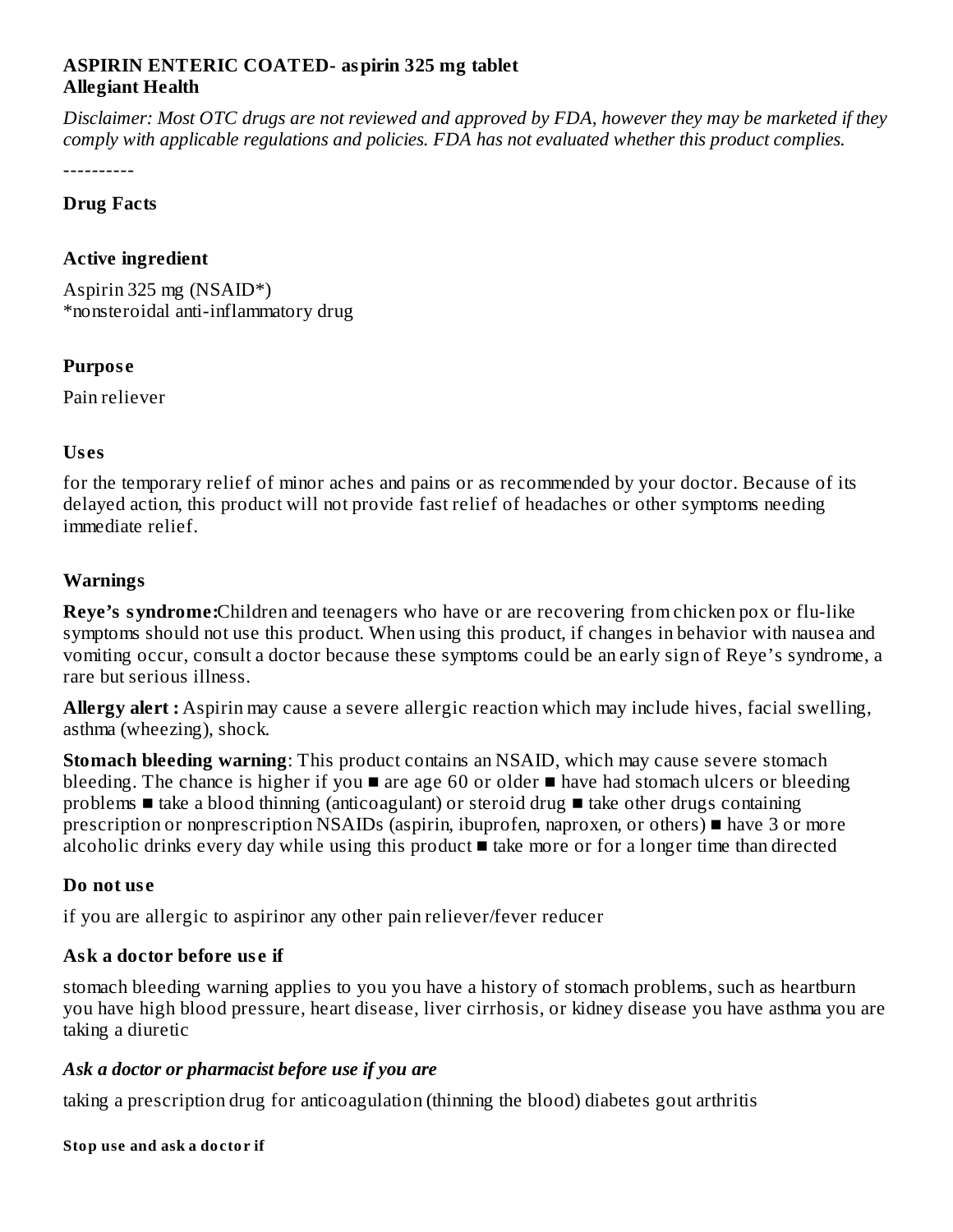## **ASPIRIN ENTERIC COATED- aspirin 325 mg tablet Allegiant Health**

Disclaimer: Most OTC drugs are not reviewed and approved by FDA, however they may be marketed if they *comply with applicable regulations and policies. FDA has not evaluated whether this product complies.*

----------

#### **Drug Facts**

## **Active ingredient**

Aspirin 325 mg (NSAID\*) \*nonsteroidal anti-inflammatory drug

#### **Purpos e**

Pain reliever

## **Us es**

for the temporary relief of minor aches and pains or as recommended by your doctor. Because of its delayed action, this product will not provide fast relief of headaches or other symptoms needing immediate relief.

# **Warnings**

**Reye's syndrome:**Children and teenagers who have or are recovering from chicken pox or flu-like symptoms should not use this product. When using this product, if changes in behavior with nausea and vomiting occur, consult a doctor because these symptoms could be an early sign of Reye's syndrome, a rare but serious illness.

**Allergy alert :** Aspirin may cause a severe allergic reaction which may include hives, facial swelling, asthma (wheezing), shock.

**Stomach bleeding warning**: This product contains an NSAID, which may cause severe stomach bleeding. The chance is higher if you ■ are age 60 or older ■ have had stomach ulcers or bleeding problems ■ take a blood thinning (anticoagulant) or steroid drug ■ take other drugs containing prescription or nonprescription NSAIDs (aspirin, ibuprofen, naproxen, or others) ■ have 3 or more alcoholic drinks every day while using this product ■ take more or for a longer time than directed

## **Do not us e**

if you are allergic to aspirinor any other pain reliever/fever reducer

## **Ask a doctor before us e if**

stomach bleeding warning applies to you you have a history of stomach problems, such as heartburn you have high blood pressure, heart disease, liver cirrhosis, or kidney disease you have asthma you are taking a diuretic

## *Ask a doctor or pharmacist before use if you are*

taking a prescription drug for anticoagulation (thinning the blood) diabetes gout arthritis

#### **Stop use and ask a doctor if**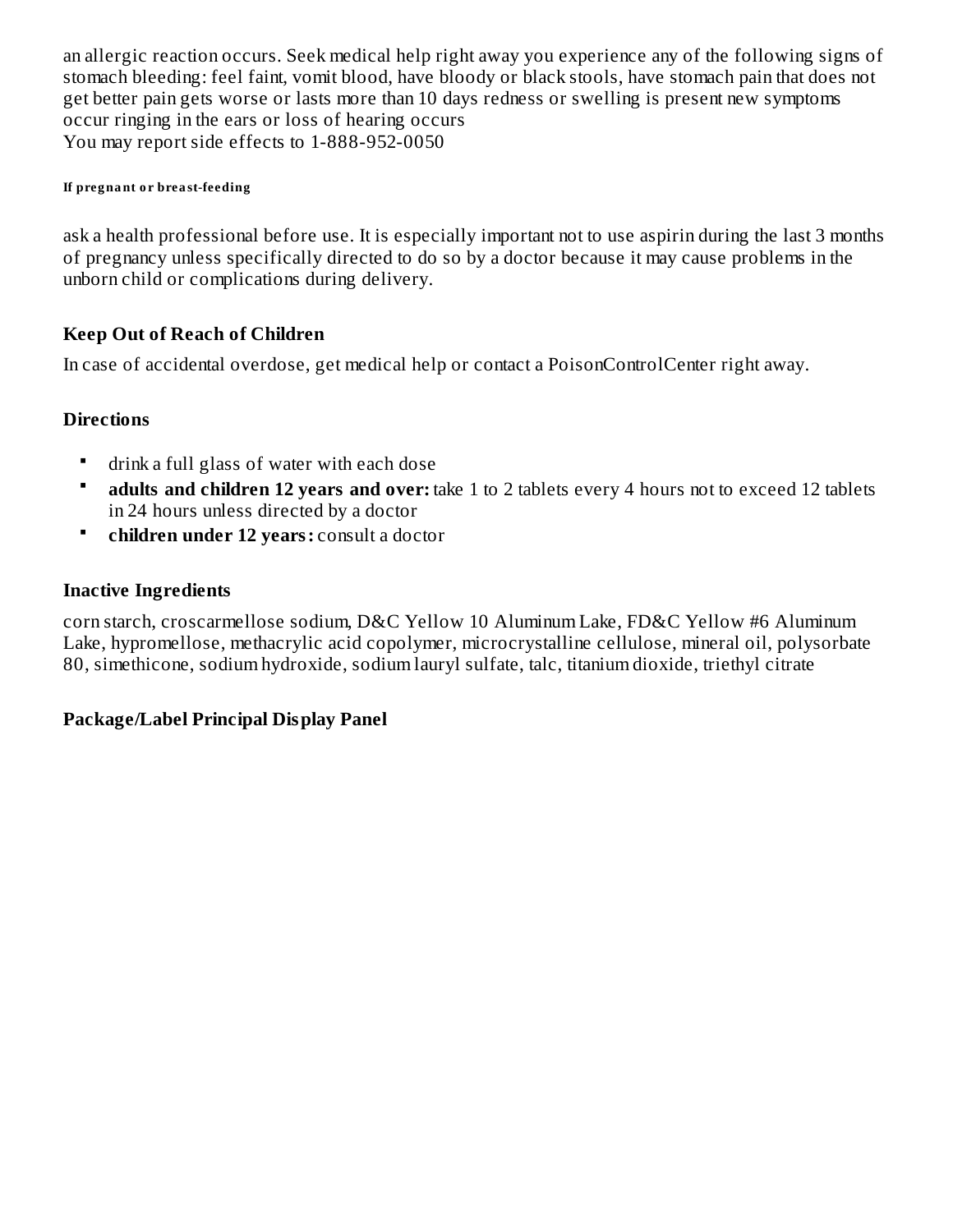an allergic reaction occurs. Seek medical help right away you experience any of the following signs of stomach bleeding: feel faint, vomit blood, have bloody or black stools, have stomach pain that does not get better pain gets worse or lasts more than 10 days redness or swelling is present new symptoms occur ringing in the ears or loss of hearing occurs You may report side effects to 1-888-952-0050

#### **If preg na nt o r brea st-feeding**

ask a health professional before use. It is especially important not to use aspirin during the last 3 months of pregnancy unless specifically directed to do so by a doctor because it may cause problems in the unborn child or complications during delivery.

## **Keep Out of Reach of Children**

In case of accidental overdose, get medical help or contact a PoisonControlCenter right away.

#### **Directions**

- drink a full glass of water with each dose
- **adults and children 12 years and over:** take 1 to 2 tablets every 4 hours not to exceed 12 tablets in 24 hours unless directed by a doctor
- **children under 12 years:** consult a doctor

#### **Inactive Ingredients**

corn starch, croscarmellose sodium, D&C Yellow 10 Aluminum Lake, FD&C Yellow #6 Aluminum Lake, hypromellose, methacrylic acid copolymer, microcrystalline cellulose, mineral oil, polysorbate 80, simethicone, sodium hydroxide, sodium lauryl sulfate, talc, titanium dioxide, triethyl citrate

#### **Package/Label Principal Display Panel**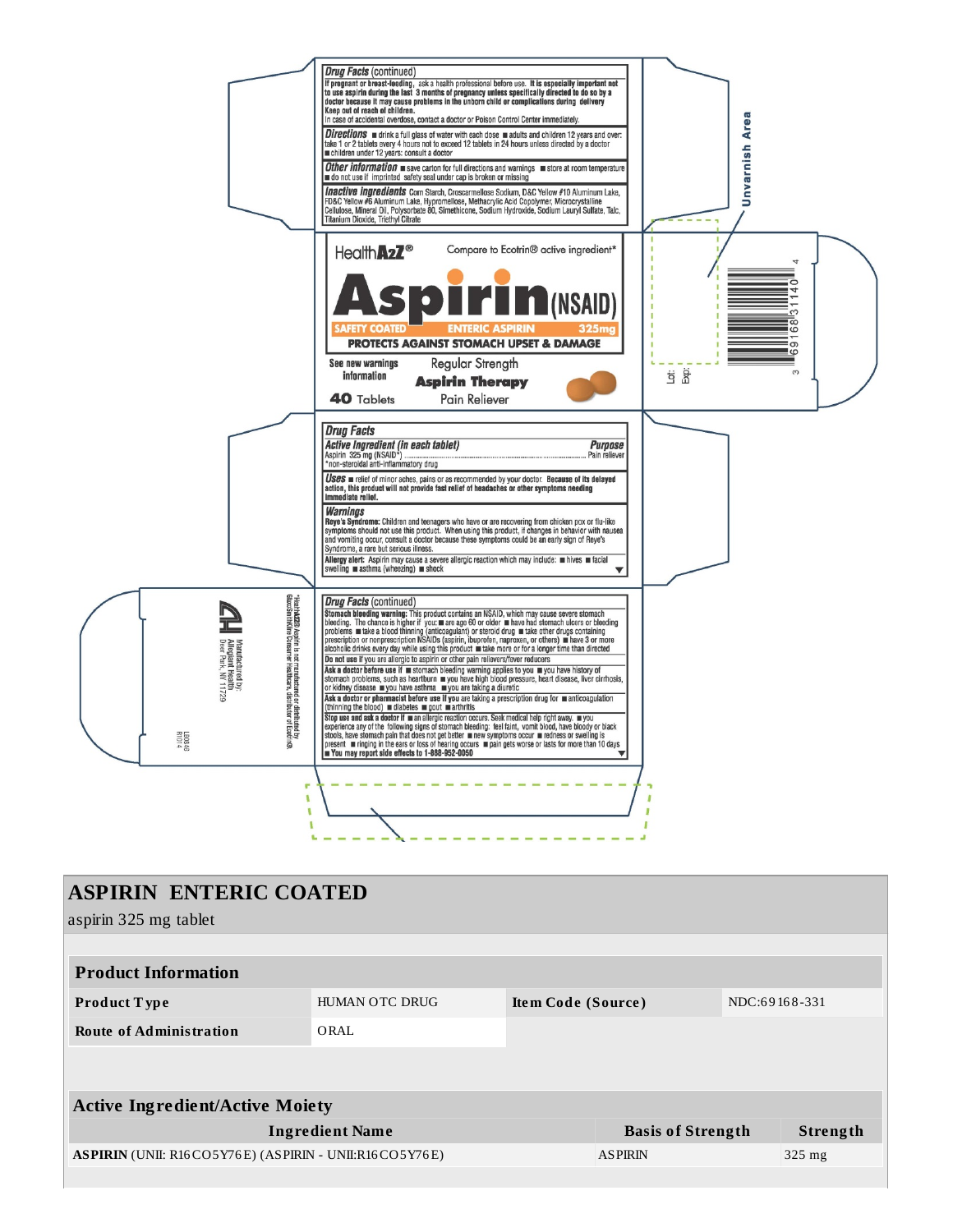

| <b>ASPIRIN ENTERIC COATED</b><br>aspirin 325 mg tablet |                       |                                     |                          |  |          |  |  |  |
|--------------------------------------------------------|-----------------------|-------------------------------------|--------------------------|--|----------|--|--|--|
| <b>Product Information</b>                             |                       |                                     |                          |  |          |  |  |  |
| <b>Product Type</b>                                    | <b>HUMAN OTC DRUG</b> | NDC:69168-331<br>Item Code (Source) |                          |  |          |  |  |  |
| <b>Route of Administration</b>                         | ORAL                  |                                     |                          |  |          |  |  |  |
|                                                        |                       |                                     |                          |  |          |  |  |  |
| <b>Active Ingredient/Active Moiety</b>                 |                       |                                     |                          |  |          |  |  |  |
| <b>Ingredient Name</b>                                 |                       |                                     | <b>Basis of Strength</b> |  | Strength |  |  |  |
| ASPIRIN (UNII: R16CO5Y76E) (ASPIRIN - UNII:R16CO5Y76E) |                       |                                     | <b>ASPIRIN</b>           |  | $325$ mg |  |  |  |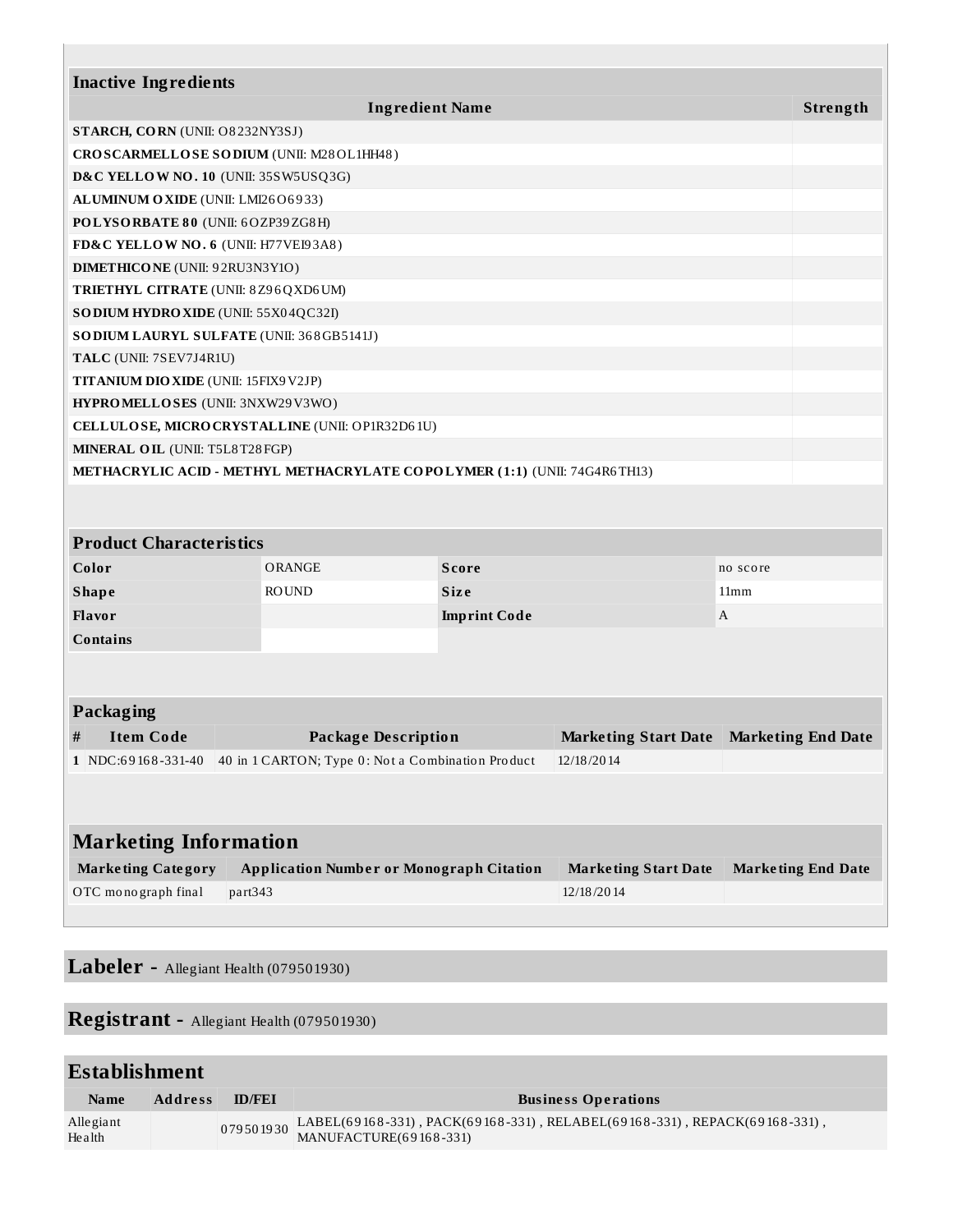| <b>Inactive Ingredients</b><br><b>Ingredient Name</b><br>STARCH, CORN (UNII: O8232NY3SJ)<br>CROSCARMELLOSE SODIUM (UNII: M28OL1HH48)<br>D&C YELLOW NO. 10 (UNII: 35SW5USQ3G)<br>ALUMINUM OXIDE (UNII: LMI2606933) | Strength                  |  |  |  |  |  |  |
|-------------------------------------------------------------------------------------------------------------------------------------------------------------------------------------------------------------------|---------------------------|--|--|--|--|--|--|
|                                                                                                                                                                                                                   |                           |  |  |  |  |  |  |
|                                                                                                                                                                                                                   |                           |  |  |  |  |  |  |
|                                                                                                                                                                                                                   |                           |  |  |  |  |  |  |
|                                                                                                                                                                                                                   |                           |  |  |  |  |  |  |
|                                                                                                                                                                                                                   |                           |  |  |  |  |  |  |
|                                                                                                                                                                                                                   |                           |  |  |  |  |  |  |
| POLYSORBATE 80 (UNII: 6OZP39ZG8H)                                                                                                                                                                                 |                           |  |  |  |  |  |  |
| FD&C YELLOW NO. 6 (UNII: H77VEI93A8)                                                                                                                                                                              |                           |  |  |  |  |  |  |
| <b>DIMETHICO NE</b> (UNII: 92RU3N3Y1O)                                                                                                                                                                            |                           |  |  |  |  |  |  |
| <b>TRIETHYL CITRATE (UNII: 8Z96QXD6UM)</b>                                                                                                                                                                        |                           |  |  |  |  |  |  |
| SO DIUM HYDRO XIDE (UNII: 55X04QC32I)                                                                                                                                                                             |                           |  |  |  |  |  |  |
| SO DIUM LAURYL SULFATE (UNII: 368GB5141J)                                                                                                                                                                         |                           |  |  |  |  |  |  |
| TALC (UNII: 7SEV7J4R1U)                                                                                                                                                                                           |                           |  |  |  |  |  |  |
| TITANIUM DIO XIDE (UNII: 15FIX9V2JP)                                                                                                                                                                              |                           |  |  |  |  |  |  |
| HYPROMELLOSES (UNII: 3NXW29V3WO)                                                                                                                                                                                  |                           |  |  |  |  |  |  |
| CELLULOSE, MICRO CRYSTALLINE (UNII: OP1R32D61U)                                                                                                                                                                   |                           |  |  |  |  |  |  |
| <b>MINERAL OIL (UNII: T5L8T28FGP)</b>                                                                                                                                                                             |                           |  |  |  |  |  |  |
| METHACRYLIC ACID - METHYL METHACRYLATE COPOLYMER (1:1) (UNII: 74G4R6TH13)                                                                                                                                         |                           |  |  |  |  |  |  |
|                                                                                                                                                                                                                   |                           |  |  |  |  |  |  |
| <b>Product Characteristics</b>                                                                                                                                                                                    |                           |  |  |  |  |  |  |
| Color<br>ORANGE<br><b>Score</b><br>no score                                                                                                                                                                       |                           |  |  |  |  |  |  |
| <b>Shape</b><br><b>ROUND</b><br><b>Size</b><br>11mm                                                                                                                                                               |                           |  |  |  |  |  |  |
| Flavor<br><b>Imprint Code</b><br>A                                                                                                                                                                                |                           |  |  |  |  |  |  |
| <b>Contains</b>                                                                                                                                                                                                   |                           |  |  |  |  |  |  |
|                                                                                                                                                                                                                   |                           |  |  |  |  |  |  |
|                                                                                                                                                                                                                   |                           |  |  |  |  |  |  |
| Packaging                                                                                                                                                                                                         |                           |  |  |  |  |  |  |
| <b>Item Code</b><br>$\#$<br><b>Package Description</b><br><b>Marketing Start Date</b>                                                                                                                             | <b>Marketing End Date</b> |  |  |  |  |  |  |
| 1 NDC:69168-331-40 40 in 1 CARTON; Type 0: Not a Combination Product<br>12/18/2014                                                                                                                                |                           |  |  |  |  |  |  |
|                                                                                                                                                                                                                   |                           |  |  |  |  |  |  |
|                                                                                                                                                                                                                   |                           |  |  |  |  |  |  |
|                                                                                                                                                                                                                   |                           |  |  |  |  |  |  |
| <b>Marketing Information</b>                                                                                                                                                                                      |                           |  |  |  |  |  |  |
| <b>Marketing Category</b><br><b>Application Number or Monograph Citation</b><br><b>Marketing End Date</b><br><b>Marketing Start Date</b>                                                                          |                           |  |  |  |  |  |  |
| OTC monograph final<br>part343<br>12/18/2014                                                                                                                                                                      |                           |  |  |  |  |  |  |
|                                                                                                                                                                                                                   |                           |  |  |  |  |  |  |

Labeler - Allegiant Health (079501930)

Registrant - Allegiant Health (079501930)

# Establishment

Ē.

| Name                | <b>Address</b> | <b>ID/FEI</b> | <b>Business Operations</b>                                                                                                                                                                                                                           |  |  |
|---------------------|----------------|---------------|------------------------------------------------------------------------------------------------------------------------------------------------------------------------------------------------------------------------------------------------------|--|--|
| Allegiant<br>Health |                |               | $\begin{array}{ l } \hline 079501930 & LABEL(69168-331) \,, \,\text{PACK}(69168-331) \,, \,\text{RELABEL}(69168-331) \,, \,\text{REPACK}(69168-331) \,, \ \hline \text{MANUFACTURE}(69168-331) & \text{NANUFACTURE}(69168-331) \\\hline \end{array}$ |  |  |